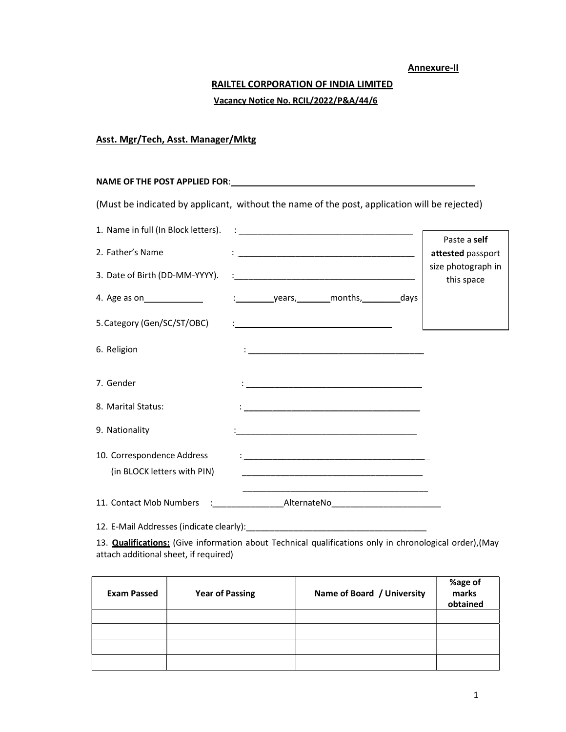### Annexure-II

# RAILTEL CORPORATION OF INDIA LIMITED Vacancy Notice No. RCIL/2022/P&A/44/6

## Asst. Mgr/Tech, Asst. Manager/Mktg

# NAME OF THE POST APPLIED FOR: \_\_\_\_\_\_\_\_\_\_\_\_\_\_\_\_\_\_\_\_\_\_\_\_\_\_\_\_\_\_\_\_\_\_\_\_\_\_\_\_\_\_\_\_\_\_\_\_\_\_

(Must be indicated by applicant, without the name of the post, application will be rejected)

| 1. Name in full (In Block letters).                       |                                                                                                                              | Paste a self                     |
|-----------------------------------------------------------|------------------------------------------------------------------------------------------------------------------------------|----------------------------------|
| 2. Father's Name                                          |                                                                                                                              | attested passport                |
| 3. Date of Birth (DD-MM-YYYY).                            |                                                                                                                              | size photograph in<br>this space |
|                                                           |                                                                                                                              |                                  |
| 5. Category (Gen/SC/ST/OBC)                               |                                                                                                                              |                                  |
| 6. Religion                                               |                                                                                                                              |                                  |
| 7. Gender                                                 |                                                                                                                              |                                  |
| 8. Marital Status:                                        |                                                                                                                              |                                  |
| 9. Nationality                                            | <u> 1980 - Jan James James, martin amerikan basar dan bagi dan bagi dan bagi dan bagi dan bagi dan bagi dan bagi </u>        |                                  |
| 10. Correspondence Address<br>(in BLOCK letters with PIN) | <u> 1989 - Johann Harry Barn, mars and de Branch and de Branch and de Branch and de Branch and de Branch and de B</u>        |                                  |
| 11. Contact Mob Numbers                                   | AlternateNo <sub>ch</sub> and the state of the state of the state of the state of the state of the state of the state of the |                                  |

12. E-Mail Addresses (indicate clearly):\_\_\_\_\_\_\_\_\_\_\_\_\_\_\_\_\_\_\_\_\_\_\_\_\_\_\_\_\_\_\_\_\_\_\_\_\_\_

13. **Qualifications:** (Give information about Technical qualifications only in chronological order), (May attach additional sheet, if required)

| <b>Exam Passed</b> | <b>Year of Passing</b> | Name of Board / University | %age of<br>marks<br>obtained |
|--------------------|------------------------|----------------------------|------------------------------|
|                    |                        |                            |                              |
|                    |                        |                            |                              |
|                    |                        |                            |                              |
|                    |                        |                            |                              |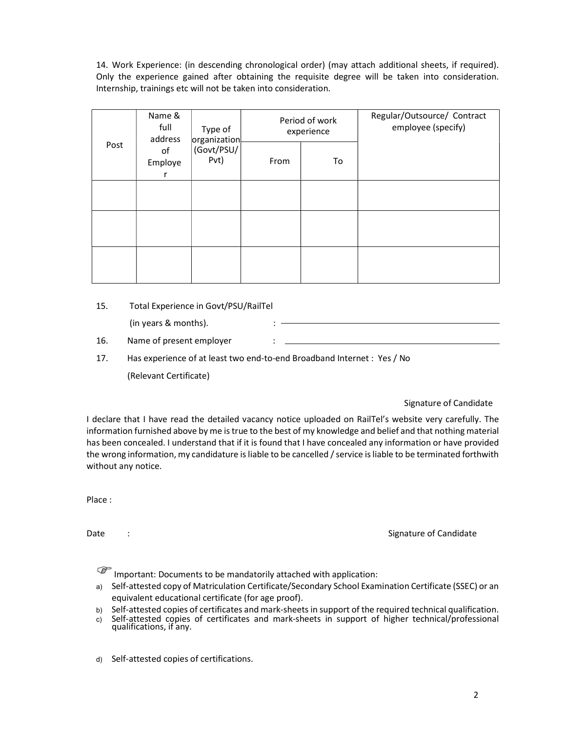14. Work Experience: (in descending chronological order) (may attach additional sheets, if required). Only the experience gained after obtaining the requisite degree will be taken into consideration. Internship, trainings etc will not be taken into consideration.

| Name &<br>full<br>address | Type of<br>organization                     | Period of work<br>experience |    | Regular/Outsource/ Contract<br>employee (specify) |  |
|---------------------------|---------------------------------------------|------------------------------|----|---------------------------------------------------|--|
|                           | Post<br>(Govt/PSU/<br>of<br>Pvt)<br>Employe | From                         | To |                                                   |  |
|                           |                                             |                              |    |                                                   |  |
|                           |                                             |                              |    |                                                   |  |
|                           |                                             |                              |    |                                                   |  |

### 15. Total Experience in Govt/PSU/RailTel

(in years & months). :

- 16. Name of present employer :
- 17. Has experience of at least two end-to-end Broadband Internet : Yes / No

(Relevant Certificate)

### Signature of Candidate

I declare that I have read the detailed vacancy notice uploaded on RailTel's website very carefully. The information furnished above by me is true to the best of my knowledge and belief and that nothing material has been concealed. I understand that if it is found that I have concealed any information or have provided the wrong information, my candidature is liable to be cancelled / service is liable to be terminated forthwith without any notice.

Place :

Date : Signature of Candidate : Signature of Candidate : Signature of Candidate :

Important: Documents to be mandatorily attached with application:

- a) Self-attested copy of Matriculation Certificate/Secondary School Examination Certificate (SSEC) or an equivalent educational certificate (for age proof).
- b) Self-attested copies of certificates and mark-sheets in support of the required technical qualification.
- c) Self-attested copies of certificates and mark-sheets in support of higher technical/professional qualifications, if any.

d) Self-attested copies of certifications.